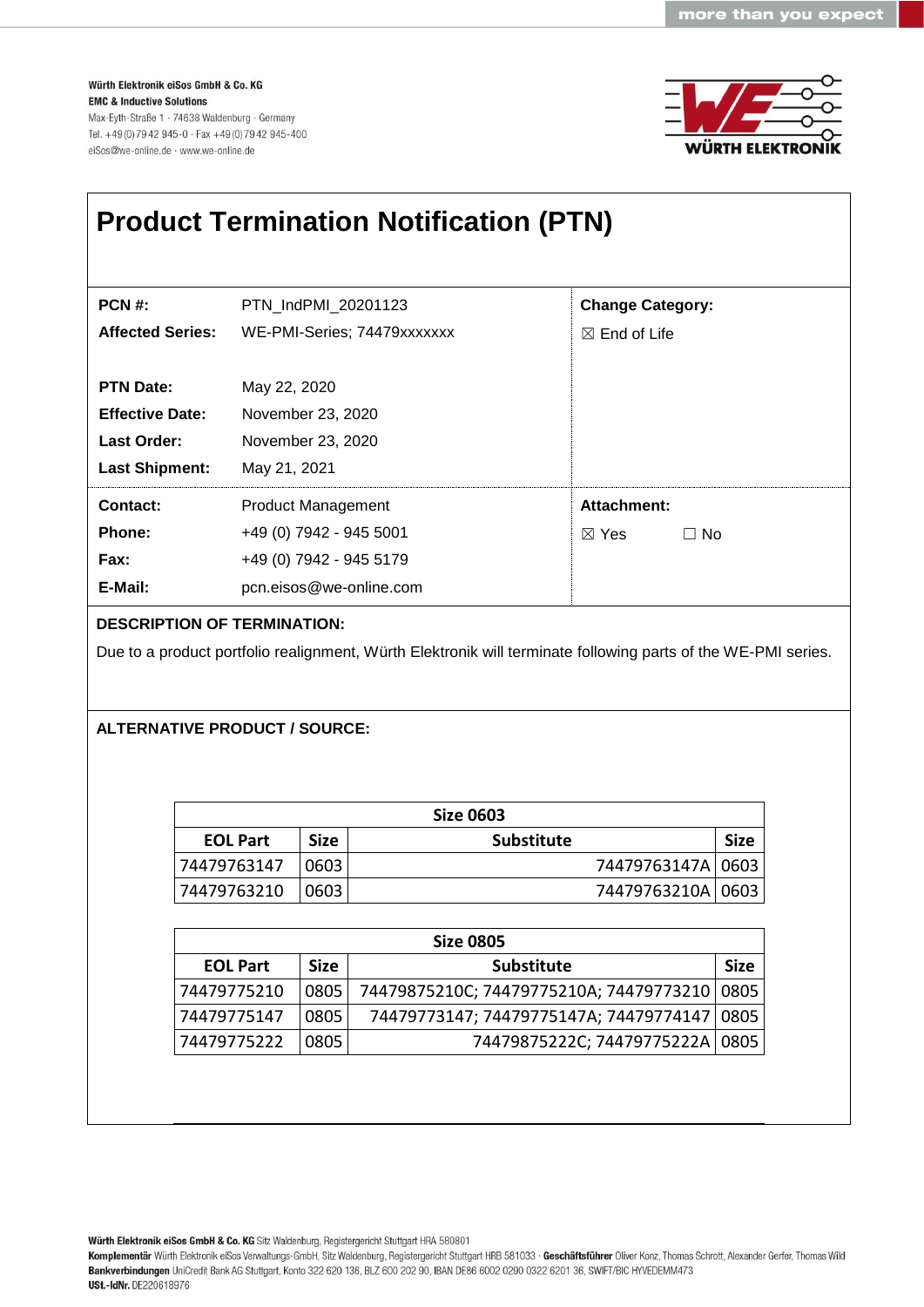Würth Elektronik eiSos GmbH & Co. KG **EMC & Inductive Solutions** Max-Eyth-Straße 1 · 74638 Waldenburg · Germany Tel. +49 (0) 79 42 945-0 · Fax +49 (0) 79 42 945-400 eiSos@we-online.de · www.we-online.de



| <b>Product Termination Notification (PTN)</b> |                                                                                                               |                         |           |  |  |
|-----------------------------------------------|---------------------------------------------------------------------------------------------------------------|-------------------------|-----------|--|--|
|                                               |                                                                                                               |                         |           |  |  |
| <b>PCN #:</b>                                 | PTN IndPMI 20201123                                                                                           | <b>Change Category:</b> |           |  |  |
| <b>Affected Series:</b>                       | WE-PMI-Series; 74479xxxxxxx                                                                                   | $\boxtimes$ End of Life |           |  |  |
| <b>PTN Date:</b>                              | May 22, 2020                                                                                                  |                         |           |  |  |
| <b>Effective Date:</b>                        | November 23, 2020                                                                                             |                         |           |  |  |
| <b>Last Order:</b>                            | November 23, 2020                                                                                             |                         |           |  |  |
| <b>Last Shipment:</b>                         | May 21, 2021                                                                                                  |                         |           |  |  |
| Contact:                                      | <b>Product Management</b>                                                                                     | Attachment:             |           |  |  |
| <b>Phone:</b>                                 | +49 (0) 7942 - 945 5001                                                                                       | $\boxtimes$ Yes         | $\Box$ No |  |  |
| Fax:                                          | +49 (0) 7942 - 945 5179                                                                                       |                         |           |  |  |
| E-Mail:                                       | pcn.eisos@we-online.com                                                                                       |                         |           |  |  |
| <b>DESCRIPTION OF TERMINATION:</b>            |                                                                                                               |                         |           |  |  |
|                                               | Due to a product portfolio realignment, Würth Elektronik will terminate following parts of the WE-PMI series. |                         |           |  |  |
|                                               |                                                                                                               |                         |           |  |  |
|                                               | <b>ALTERNATIVE PRODUCT / SOURCE:</b>                                                                          |                         |           |  |  |
|                                               |                                                                                                               |                         |           |  |  |

| Size 0603       |             |                   |                     |             |
|-----------------|-------------|-------------------|---------------------|-------------|
| <b>EOL Part</b> | <b>Size</b> | <b>Substitute</b> |                     | <b>Size</b> |
| 74479763147     | 0603        |                   | 74479763147A   0603 |             |
| 74479763210     | 0603        |                   | 74479763210A   0603 |             |

| <b>Size 0805</b> |             |                                                |             |
|------------------|-------------|------------------------------------------------|-------------|
| <b>EOL Part</b>  | <b>Size</b> | <b>Substitute</b>                              | <b>Size</b> |
| 74479775210      | 0805        | 74479875210C; 74479775210A; 74479773210   0805 |             |
| 74479775147      | 0805        | 74479773147; 74479775147A; 74479774147   0805  |             |
| 74479775222      | 0805        | 74479875222C; 74479775222A   0805              |             |

Würth Elektronik eiSos GmbH & Co. KG Sitz Waldenburg, Registergericht Stuttgart HRA 580801

Komplementär Würth Elektronik eiSos Verwaltungs-GmbH, Sitz Waldenburg, Registergericht Stuttgart HRB 581033 · Geschäftsführer Oliver Konz, Thomas Schrott, Alexander Gerfer, Thomas Wild<br>Bankverbindungen UniCredit Bank AG St **USt.-IdNr. DE220618976**